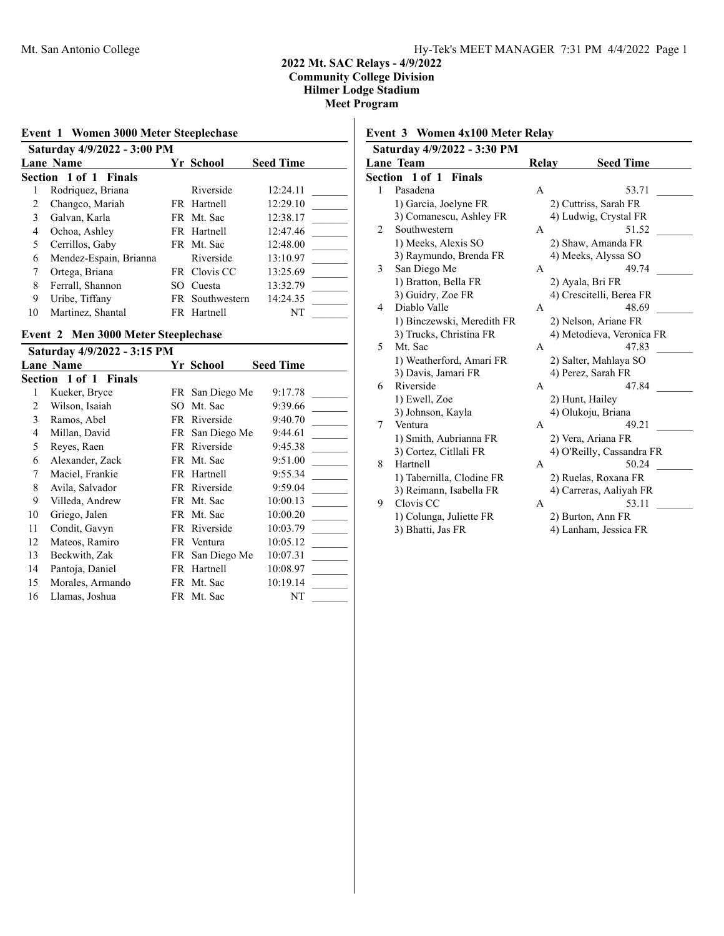| Event 1 Women 3000 Meter Steeplechase<br>Saturday 4/9/2022 - 3:00 PM |                        |     |                 |          |  |  |
|----------------------------------------------------------------------|------------------------|-----|-----------------|----------|--|--|
|                                                                      |                        |     |                 |          |  |  |
|                                                                      | Section 1 of 1 Finals  |     |                 |          |  |  |
|                                                                      | Rodriquez, Briana      |     | Riverside       | 12:24.11 |  |  |
| 2                                                                    | Changco, Mariah        |     | FR Hartnell     | 12:29.10 |  |  |
| 3                                                                    | Galvan, Karla          |     | FR Mt. Sac      | 12:38.17 |  |  |
| 4                                                                    | Ochoa, Ashley          |     | FR Hartnell     | 12:47.46 |  |  |
| $\overline{\mathcal{L}}$                                             | Cerrillos, Gaby        |     | FR Mt. Sac      | 12:48.00 |  |  |
| 6                                                                    | Mendez-Espain, Brianna |     | Riverside       | 13:10.97 |  |  |
| 7                                                                    | Ortega, Briana         |     | FR Clovis CC    | 13:25.69 |  |  |
| 8                                                                    | Ferrall, Shannon       | SO. | Cuesta          | 13:32.79 |  |  |
| 9                                                                    | Uribe, Tiffany         |     | FR Southwestern | 14:24.35 |  |  |
| 10                                                                   | Martinez, Shantal      |     | FR Hartnell     | NT       |  |  |

# **Event 2 Men 3000 Meter Steeplechase**

|    | Saturday 4/9/2022 - 3:15 PM |     |                 |                  |
|----|-----------------------------|-----|-----------------|------------------|
|    | <b>Lane Name</b>            |     | Yr School       | <b>Seed Time</b> |
|    | Section 1 of 1 Finals       |     |                 |                  |
| 1  | Kueker, Bryce               |     | FR San Diego Me | 9:17.78          |
| 2  | Wilson, Isaiah              | SO. | Mt. Sac         | 9:39.66          |
| 3  | Ramos, Abel                 |     | FR Riverside    | 9:40.70          |
| 4  | Millan, David               |     | FR San Diego Me | 9:44.61          |
| 5  | Reyes, Raen                 | FR  | Riverside       | 9:45.38          |
| 6  | Alexander, Zack             |     | FR Mt. Sac      | 9:51.00          |
| 7  | Maciel, Frankie             |     | FR Hartnell     | 9:55.34          |
| 8  | Avila, Salvador             |     | FR Riverside    | 9:59.04          |
| 9  | Villeda, Andrew             |     | FR Mt. Sac      | 10:00.13         |
| 10 | Griego, Jalen               |     | FR Mt. Sac      | 10:00.20         |
| 11 | Condit, Gavyn               |     | FR Riverside    | 10:03.79         |
| 12 | Mateos, Ramiro              |     | FR Ventura      | 10:05.12         |
| 13 | Beckwith, Zak               |     | FR San Diego Me | 10:07.31         |
| 14 | Pantoja, Daniel             |     | FR Hartnell     | 10:08.97         |
| 15 | Morales, Armando            |     | FR Mt. Sac      | 10:19.14         |
| 16 | Llamas, Joshua              |     | FR Mt. Sac      | NT               |
|    |                             |     |                 |                  |

# **Event 3 Women 4x100 Meter Relay**

|   | Saturday 4/9/2022 - 3:30 PM |       |                           |  |  |  |  |
|---|-----------------------------|-------|---------------------------|--|--|--|--|
|   | Lane Team                   | Relay | <b>Seed Time</b>          |  |  |  |  |
|   | Section 1 of 1 Finals       |       |                           |  |  |  |  |
| 1 | Pasadena                    | A     | 53.71                     |  |  |  |  |
|   | 1) Garcia, Joelyne FR       |       | 2) Cuttriss, Sarah FR     |  |  |  |  |
|   | 3) Comanescu, Ashley FR     |       | 4) Ludwig, Crystal FR     |  |  |  |  |
| 2 | Southwestern                | A     | 51.52                     |  |  |  |  |
|   | 1) Meeks, Alexis SO         |       | 2) Shaw, Amanda FR        |  |  |  |  |
|   | 3) Raymundo, Brenda FR      |       | 4) Meeks, Alyssa SO       |  |  |  |  |
| 3 | San Diego Me                | A     | 49.74                     |  |  |  |  |
|   | 1) Bratton, Bella FR        |       | 2) Ayala, Bri FR          |  |  |  |  |
|   | 3) Guidry, Zoe FR           |       | 4) Crescitelli, Berea FR  |  |  |  |  |
| 4 | Diablo Valle                | A     | 48.69                     |  |  |  |  |
|   | 1) Binczewski, Meredith FR  |       | 2) Nelson, Ariane FR      |  |  |  |  |
|   | 3) Trucks, Christina FR     |       | 4) Metodieva, Veronica FR |  |  |  |  |
| 5 | Mt. Sac                     | A     | 47.83                     |  |  |  |  |
|   | 1) Weatherford, Amari FR    |       | 2) Salter, Mahlaya SO     |  |  |  |  |
|   | 3) Davis, Jamari FR         |       | 4) Perez, Sarah FR        |  |  |  |  |
| 6 | Riverside                   | A     | 47.84                     |  |  |  |  |
|   | 1) Ewell, Zoe               |       | 2) Hunt, Hailey           |  |  |  |  |
|   | 3) Johnson, Kayla           |       | 4) Olukoju, Briana        |  |  |  |  |
| 7 | Ventura                     | A     | 49.21                     |  |  |  |  |
|   | 1) Smith, Aubrianna FR      |       | 2) Vera, Ariana FR        |  |  |  |  |
|   | 3) Cortez, Citllali FR      |       | 4) O'Reilly, Cassandra FR |  |  |  |  |
| 8 | Hartnell                    | A     | 50.24                     |  |  |  |  |
|   | 1) Tabernilla, Clodine FR   |       | 2) Ruelas, Roxana FR      |  |  |  |  |
|   | 3) Reimann, Isabella FR     |       | 4) Carreras, Aaliyah FR   |  |  |  |  |
| 9 | Clovis CC                   | A     | 53.11                     |  |  |  |  |
|   | 1) Colunga, Juliette FR     |       | 2) Burton, Ann FR         |  |  |  |  |
|   | 3) Bhatti, Jas FR           |       | 4) Lanham, Jessica FR     |  |  |  |  |
|   |                             |       |                           |  |  |  |  |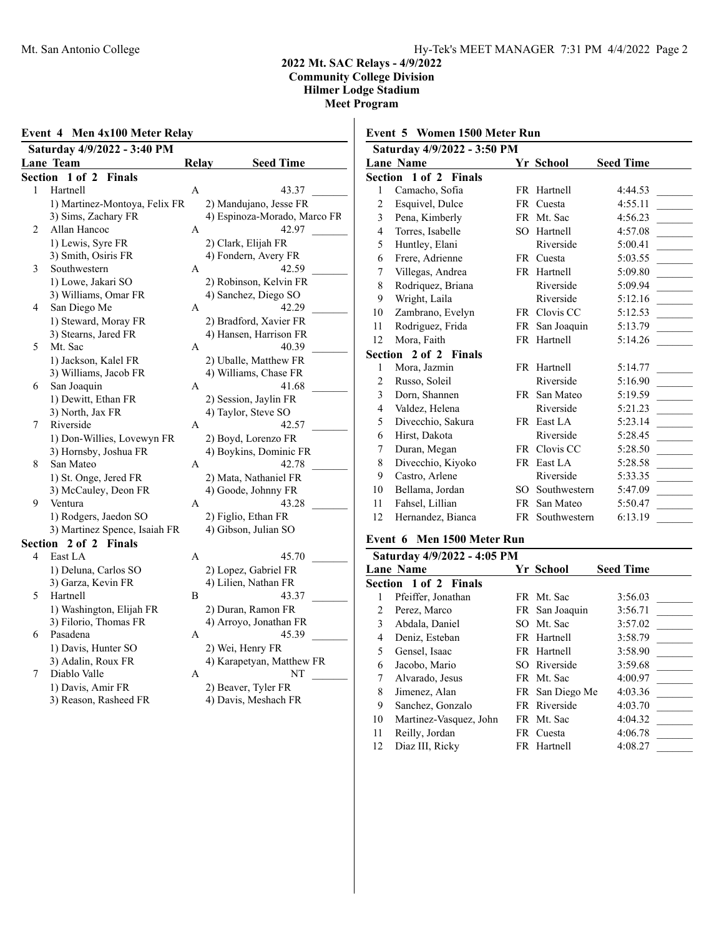### **Event 4 Men 4x100 Meter Relay Saturday 4/9/2022 - 3:40 PM Lane Team 6 Relay Seed Time Section 1 of 2 Finals** 1 Hartnell A 43.37 1) Martinez-Montoya, Felix FR 2) Mandujano, Jesse FR 3) Sims, Zachary FR 4) Espinoza-Morado, Marco FR 2 Allan Hancoc A 42.97 1) Lewis, Syre FR 2) Clark, Elijah FR 3) Smith, Osiris FR 4) Fondern, Avery FR 3 Southwestern A 42.59 1) Lowe, Jakari SO 2) Robinson, Kelvin FR 3) Williams, Omar FR<br>
San Diego Me<br>
A<br>
A<br>  $\frac{4}{3}$  Sanchez, Diego SO<br>  $\frac{42.29}{4}$ 4 San Diego Me A 1) Steward, Moray FR 2) Bradford, Xavier FR 3) Stearns, Jared FR 4) Hansen, Harrison FR 5 Mt. Sac A 40.39 1) Jackson, Kalel FR 2) Uballe, Matthew FR 3) Williams, Jacob FR 4) Williams, Chase FR 6 San Joaquin A 41.68 1) Dewitt, Ethan FR 2) Session, Jaylin FR 3) North, Jax FR 4) Taylor, Steve SO 7 Riverside A 42.57 1) Don-Willies, Lovewyn FR 2) Boyd, Lorenzo FR 3) Hornsby, Joshua FR 4) Boykins, Dominic FR 8 San Mateo A 42.78 1) St. Onge, Jered FR 2) Mata, Nathaniel FR 3) McCauley, Deon FR 4) Goode, Johnny FR 9 Ventura A 43.28 1) Rodgers, Jaedon SO 2) Figlio, Ethan FR 3) Martinez Spence, Isaiah FR 4) Gibson, Julian SO **Section 2 of 2 Finals** 4 East LA 45.70 1) Deluna, Carlos SO 2) Lopez, Gabriel FR 3) Garza, Kevin FR 4) Lilien, Nathan FR 5 Hartnell B 43.37 1) Washington, Elijah FR 2) Duran, Ramon FR 3) Filorio, Thomas FR 4) Arroyo, Jonathan FR 6 Pasadena A 45.39 1) Davis, Hunter SO 2) Wei, Henry FR 3) Adalin, Roux FR 4) Karapetyan, Matthew FR 7 Diablo Valle A NT 1) Davis, Amir FR 2) Beaver, Tyler FR 3) Reason, Rasheed FR 4) Davis, Meshach FR

# **Event 5 Women 1500 Meter Run**

| Saturday 4/9/2022 - 3:50 PM |                              |      |              |                  |  |
|-----------------------------|------------------------------|------|--------------|------------------|--|
|                             | <b>Lane Name</b>             |      | Yr School    | <b>Seed Time</b> |  |
|                             | <b>Section 1 of 2 Finals</b> |      |              |                  |  |
| 1                           | Camacho, Sofia               |      | FR Hartnell  | 4:44.53          |  |
| $\overline{c}$              | Esquivel, Dulce              | FR   | Cuesta       | 4:55.11          |  |
| 3                           | Pena, Kimberly               |      | FR Mt. Sac   | 4:56.23          |  |
| 4                           | Torres, Isabelle             | SО   | Hartnell     | 4:57.08          |  |
| 5                           | Huntley, Elani               |      | Riverside    | 5:00.41          |  |
| 6                           | Frere, Adrienne              | FR 1 | Cuesta       | 5:03.55          |  |
| 7                           | Villegas, Andrea             |      | FR Hartnell  | 5:09.80          |  |
| 8                           | Rodriquez, Briana            |      | Riverside    | 5:09.94          |  |
| 9                           | Wright, Laila                |      | Riverside    | 5:12.16          |  |
| 10                          | Zambrano, Evelyn             | FR   | Clovis CC    | 5:12.53          |  |
| 11                          | Rodriguez, Frida             | FR   | San Joaquin  | 5:13.79          |  |
| 12                          | Mora, Faith                  |      | FR Hartnell  | 5:14.26          |  |
|                             | <b>Section 2 of 2 Finals</b> |      |              |                  |  |
| 1                           | Mora, Jazmin                 |      | FR Hartnell  | 5:14.77          |  |
| $\overline{2}$              | Russo, Soleil                |      | Riverside    | 5:16.90          |  |
| 3                           | Dorn, Shannen                | FR - | San Mateo    | 5:19.59          |  |
| 4                           | Valdez, Helena               |      | Riverside    | 5:21.23          |  |
| 5                           | Divecchio, Sakura            |      | FR East LA   | 5:23.14          |  |
| 6                           | Hirst, Dakota                |      | Riverside    | 5:28.45          |  |
| 7                           | Duran, Megan                 |      | FR Clovis CC | 5:28.50          |  |
| 8                           | Divecchio, Kiyoko            | FR   | East LA      | 5:28.58          |  |
| 9                           | Castro, Arlene               |      | Riverside    | 5:33.35          |  |
| 10                          | Bellama, Jordan              | SO.  | Southwestern | 5:47.09          |  |
| 11                          | Fahsel, Lillian              | FR   | San Mateo    | 5:50.47          |  |
| 12                          | Hernandez, Bianca            | FR   | Southwestern | 6:13.19          |  |

### **Event 6 Men 1500 Meter Run**

|    | Saturday 4/9/2022 - 4:05 PM |                 |                  |
|----|-----------------------------|-----------------|------------------|
|    | <b>Lane Name</b>            | Yr School       | <b>Seed Time</b> |
|    | Section 1 of 2 Finals       |                 |                  |
|    | Pfeiffer, Jonathan          | FR Mt. Sac      | 3:56.03          |
| 2  | Perez, Marco                | FR San Joaquin  | 3:56.71          |
| 3  | Abdala, Daniel              | SO Mt. Sac      | 3:57.02          |
| 4  | Deniz, Esteban              | FR Hartnell     | 3:58.79          |
| 5  | Gensel, Isaac               | FR Hartnell     | 3:58.90          |
| 6  | Jacobo, Mario               | SO Riverside    | 3:59.68          |
| 7  | Alvarado, Jesus             | FR Mt. Sac      | 4:00.97          |
| 8  | Jimenez, Alan               | FR San Diego Me | 4:03.36          |
| 9  | Sanchez, Gonzalo            | FR Riverside    | 4:03.70          |
| 10 | Martinez-Vasquez, John      | FR Mt. Sac      | 4:04.32          |
| 11 | Reilly, Jordan              | FR Cuesta       | 4:06.78          |
| 12 | Diaz III, Ricky             | FR Hartnell     | 4:08.27          |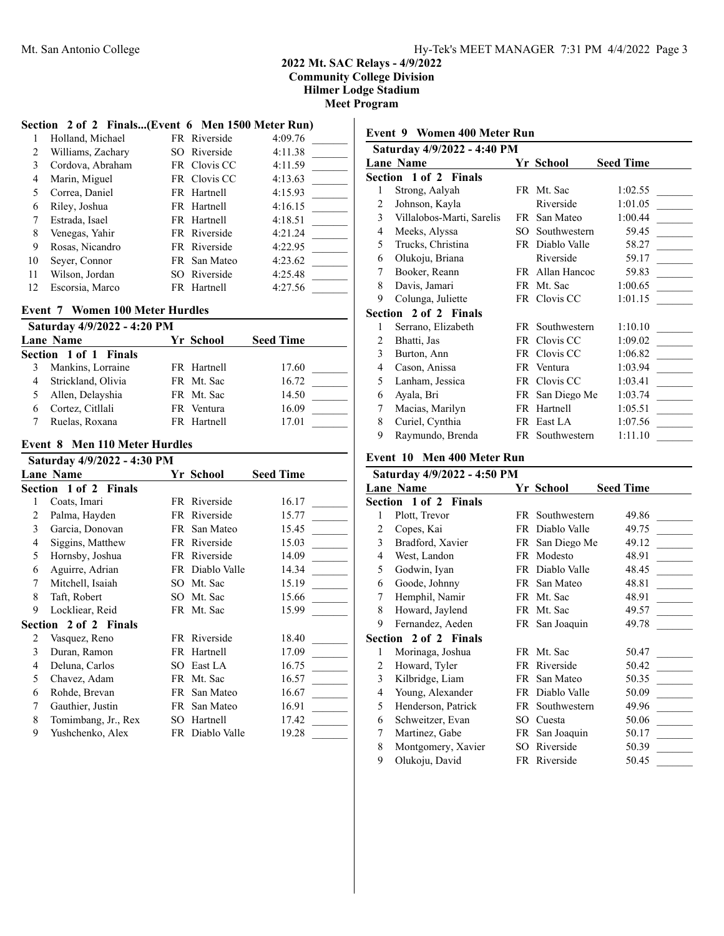$\mathsf{l}$ 

## **Section 2 of 2 Finals...(Event 6 Men 1500 Meter Run)**

|    | Holland, Michael  | FR Riverside | 4:09.76 |
|----|-------------------|--------------|---------|
| 2  | Williams, Zachary | SO Riverside | 4:11.38 |
| 3  | Cordova, Abraham  | FR Clovis CC | 4:11.59 |
| 4  | Marin, Miguel     | FR Clovis CC | 4:13.63 |
|    | Correa, Daniel    | FR Hartnell  | 4:15.93 |
| 6  | Riley, Joshua     | FR Hartnell  | 4:16.15 |
|    | Estrada, Isael    | FR Hartnell  | 4:18.51 |
| 8  | Venegas, Yahir    | FR Riverside | 4:21.24 |
| 9  | Rosas, Nicandro   | FR Riverside | 4:22.95 |
| 10 | Seyer, Connor     | FR San Mateo | 4:23.62 |
| 11 | Wilson, Jordan    | SO Riverside | 4:25.48 |
| 12 | Escorsia, Marco   | FR Hartnell  | 4:27.56 |

### **Event 7 Women 100 Meter Hurdles**

| Saturday 4/9/2022 - 4:20 PM |                       |  |             |                  |  |
|-----------------------------|-----------------------|--|-------------|------------------|--|
|                             | Lane Name             |  | Yr School   | <b>Seed Time</b> |  |
|                             | Section 1 of 1 Finals |  |             |                  |  |
|                             | Mankins, Lorraine     |  | FR Hartnell | 17.60            |  |
| 4                           | Strickland, Olivia    |  | FR Mt. Sac  | 16.72            |  |
|                             | 5 Allen, Delayshia    |  | FR Mt. Sac  | 14.50            |  |
|                             | Cortez, Citllali      |  | FR Ventura  | 16.09            |  |
|                             | Ruelas, Roxana        |  | FR Hartnell | 17.01            |  |

### **Event 8 Men 110 Meter Hurdles**

|   | Saturday 4/9/2022 - 4:30 PM  |     |                 |                  |
|---|------------------------------|-----|-----------------|------------------|
|   | <b>Lane Name</b>             |     | Yr School       | <b>Seed Time</b> |
|   | <b>Section 1 of 2 Finals</b> |     |                 |                  |
| 1 | Coats, Imari                 |     | FR Riverside    | 16.17            |
| 2 | Palma, Hayden                |     | FR Riverside    | 15.77            |
| 3 | Garcia, Donovan              |     | FR San Mateo    | 15.45            |
| 4 | Siggins, Matthew             |     | FR Riverside    | 15.03            |
| 5 | Hornsby, Joshua              |     | FR Riverside    | 14.09            |
| 6 | Aguirre, Adrian              |     | FR Diablo Valle | 14.34            |
| 7 | Mitchell, Isaiah             |     | SO Mt. Sac      | 15.19            |
| 8 | Taft, Robert                 | SO. | Mt. Sac         | 15.66            |
| 9 | Lockliear, Reid              |     | FR Mt. Sac      | 15.99            |
|   | <b>Section 2 of 2 Finals</b> |     |                 |                  |
| 2 | Vasquez, Reno                |     | FR Riverside    | 18.40            |
| 3 | Duran, Ramon                 |     | FR Hartnell     | 17.09            |
| 4 | Deluna, Carlos               | SO. | East LA         | 16.75            |
| 5 | Chavez, Adam                 | FR  | Mt. Sac         | 16.57            |
| 6 | Rohde, Brevan                |     | FR San Mateo    | 16.67            |
| 7 | Gauthier, Justin             | FR  | San Mateo       | 16.91            |
| 8 | Tomimbang, Jr., Rex          | SО  | Hartnell        | 17.42            |
| 9 | Yushchenko, Alex             |     | FR Diablo Valle | 19.28            |
|   |                              |     |                 |                  |

# **Event 9 Women 400 Meter Run**

| Saturday 4/9/2022 - 4:40 PM |                              |      |                 |                  |  |
|-----------------------------|------------------------------|------|-----------------|------------------|--|
|                             | <b>Lane Name</b>             |      | Yr School       | <b>Seed Time</b> |  |
|                             | <b>Section 1 of 2 Finals</b> |      |                 |                  |  |
| 1                           | Strong, Aalyah               |      | FR Mt. Sac      | 1:02.55          |  |
| 2                           | Johnson, Kayla               |      | Riverside       | 1:01.05          |  |
| 3                           | Villalobos-Marti, Sarelis    | FR   | San Mateo       | 1:00.44          |  |
| 4                           | Meeks, Alyssa                | SO.  | Southwestern    | 59.45            |  |
| 5                           | Trucks, Christina            |      | FR Diablo Valle | 58.27            |  |
| 6                           | Olukoju, Briana              |      | Riverside       | 59.17            |  |
| 7                           | Booker, Reann                |      | FR Allan Hancoc | 59.83            |  |
| 8                           | Davis, Jamari                |      | FR Mt. Sac      | 1:00.65          |  |
| 9                           | Colunga, Juliette            |      | FR Clovis CC    | 1:01.15          |  |
|                             | <b>Section 2 of 2 Finals</b> |      |                 |                  |  |
| 1                           | Serrano, Elizabeth           |      | FR Southwestern | 1:10.10          |  |
| 2                           | Bhatti, Jas                  | FR   | Clovis CC       | 1:09.02          |  |
| 3                           | Burton, Ann                  | FR - | Clovis CC       | 1:06.82          |  |
| 4                           | Cason, Anissa                |      | FR Ventura      | 1:03.94          |  |
| 5                           | Lanham, Jessica              | FR - | Clovis CC       | 1:03.41          |  |
| 6                           | Ayala, Bri                   | FR   | San Diego Me    | 1:03.74          |  |
| 7                           | Macias, Marilyn              |      | FR Hartnell     | 1:05.51          |  |
| 8                           | Curiel, Cynthia              |      | FR East LA      | 1:07.56          |  |
| 9                           | Raymundo, Brenda             |      | FR Southwestern | 1:11.10          |  |
|                             |                              |      |                 |                  |  |

# **Event 10 Men 400 Meter Run**

|   | Saturday 4/9/2022 - 4:50 PM |      |                 |                  |  |  |  |
|---|-----------------------------|------|-----------------|------------------|--|--|--|
|   | <b>Lane Name</b>            |      | Yr School       | <b>Seed Time</b> |  |  |  |
|   | Section 1 of 2 Finals       |      |                 |                  |  |  |  |
| 1 | Plott, Trevor               | FR - | Southwestern    | 49.86            |  |  |  |
| 2 | Copes, Kai                  | FR   | Diablo Valle    | 49.75            |  |  |  |
| 3 | Bradford, Xavier            |      | FR San Diego Me | 49.12            |  |  |  |
| 4 | West, Landon                |      | FR Modesto      | 48.91            |  |  |  |
| 5 | Godwin, Iyan                |      | FR Diablo Valle | 48.45            |  |  |  |
| 6 | Goode, Johnny               |      | FR San Mateo    | 48.81            |  |  |  |
| 7 | Hemphil, Namir              |      | FR Mt. Sac      | 48.91            |  |  |  |
| 8 | Howard, Jaylend             |      | FR Mt. Sac      | 49.57            |  |  |  |
| 9 | Fernandez, Aeden            |      | FR San Joaquin  | 49.78            |  |  |  |
|   | Section 2 of 2 Finals       |      |                 |                  |  |  |  |
| 1 | Morinaga, Joshua            |      | FR Mt. Sac      | 50.47            |  |  |  |
| 2 | Howard, Tyler               | FR.  | Riverside       | 50.42            |  |  |  |
| 3 | Kilbridge, Liam             |      | FR San Mateo    | 50.35            |  |  |  |
| 4 | Young, Alexander            |      | FR Diablo Valle | 50.09            |  |  |  |
| 5 | Henderson, Patrick          | FR   | Southwestern    | 49.96            |  |  |  |
| 6 | Schweitzer, Evan            | SO.  | Cuesta          | 50.06            |  |  |  |
| 7 | Martinez, Gabe              |      | FR San Joaquin  | 50.17            |  |  |  |
| 8 | Montgomery, Xavier          | SO.  | Riverside       | 50.39            |  |  |  |
| 9 | Olukoju, David              |      | FR Riverside    | 50.45            |  |  |  |
|   |                             |      |                 |                  |  |  |  |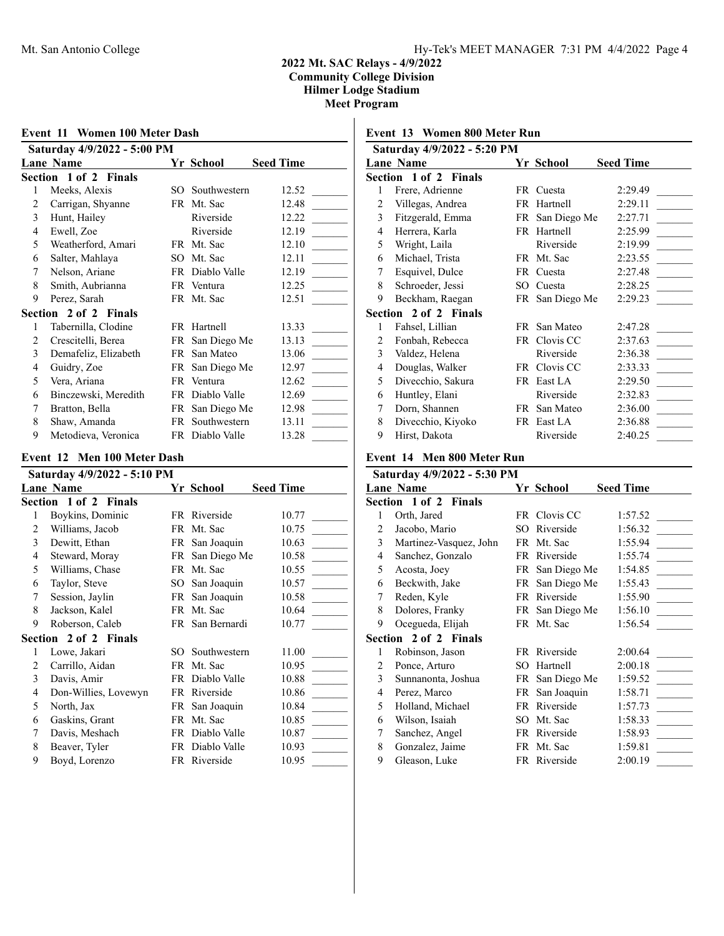| Event 11 Women 100 Meter Dash |                                                 |      |                 |                  |  |  |
|-------------------------------|-------------------------------------------------|------|-----------------|------------------|--|--|
|                               | Saturday 4/9/2022 - 5:00 PM<br><b>Lane Name</b> |      | Yr School       | <b>Seed Time</b> |  |  |
|                               | Section 1 of 2 Finals                           |      |                 |                  |  |  |
| 1                             | Meeks, Alexis                                   |      | SO Southwestern | 12.52            |  |  |
| 2                             | Carrigan, Shyanne                               |      | FR Mt. Sac      | 12.48            |  |  |
| 3                             | Hunt, Hailey                                    |      | Riverside       | 12.22            |  |  |
| 4                             | Ewell, Zoe                                      |      | Riverside       | 12.19            |  |  |
| 5                             | Weatherford, Amari                              |      | FR Mt. Sac      | 12.10            |  |  |
| 6                             | Salter, Mahlaya                                 | SO.  | Mt. Sac         | 12.11            |  |  |
| 7                             | Nelson, Ariane                                  |      | FR Diablo Valle | 12.19            |  |  |
| 8                             | Smith, Aubrianna                                |      | FR Ventura      | 12.25            |  |  |
| 9                             | Perez, Sarah                                    |      | FR Mt. Sac      | 12.51            |  |  |
|                               | Section 2 of 2 Finals                           |      |                 |                  |  |  |
| 1                             | Tabernilla, Clodine                             |      | FR Hartnell     | 13.33            |  |  |
| 2                             | Crescitelli, Berea                              |      | FR San Diego Me | 13.13            |  |  |
| 3                             | Demafeliz, Elizabeth                            | FR.  | San Mateo       | 13.06            |  |  |
| 4                             | Guidry, Zoe                                     |      | FR San Diego Me | 12.97            |  |  |
| 5                             | Vera, Ariana                                    |      | FR Ventura      | 12.62            |  |  |
| 6                             | Binczewski, Meredith                            |      | FR Diablo Valle | 12.69            |  |  |
| 7                             | Bratton, Bella                                  |      | FR San Diego Me | 12.98            |  |  |
| 8                             | Shaw, Amanda                                    | FR - | Southwestern    | 13.11            |  |  |
| 9                             | Metodieva, Veronica                             |      | FR Diablo Valle | 13.28            |  |  |

## **Event 12 Men 100 Meter Dash**

|   | Saturday 4/9/2022 - 5:10 PM |     |                 |                  |  |  |
|---|-----------------------------|-----|-----------------|------------------|--|--|
|   | <b>Lane Name</b>            |     | Yr School       | <b>Seed Time</b> |  |  |
|   | Section 1 of 2 Finals       |     |                 |                  |  |  |
| 1 | Boykins, Dominic            |     | FR Riverside    | 10.77            |  |  |
| 2 | Williams, Jacob             | FR  | Mt. Sac         | 10.75            |  |  |
| 3 | Dewitt, Ethan               |     | FR San Joaquin  | 10.63            |  |  |
| 4 | Steward, Moray              | FR  | San Diego Me    | 10.58            |  |  |
| 5 | Williams, Chase             |     | FR Mt. Sac      | 10.55            |  |  |
| 6 | Taylor, Steve               | SO  | San Joaquin     | 10.57            |  |  |
| 7 | Session, Jaylin             | FR  | San Joaquin     | 10.58            |  |  |
| 8 | Jackson, Kalel              | FR  | Mt. Sac         | 10.64            |  |  |
| 9 | Roberson, Caleb             |     | FR San Bernardi | 10.77            |  |  |
|   | Section 2 of 2 Finals       |     |                 |                  |  |  |
| 1 | Lowe, Jakari                | SO. | Southwestern    | 11.00            |  |  |
| 2 | Carrillo, Aidan             | FR  | Mt. Sac         | 10.95            |  |  |
| 3 | Davis, Amir                 |     | FR Diablo Valle | 10.88            |  |  |
| 4 | Don-Willies, Lovewyn        | FR  | Riverside       | 10.86            |  |  |
| 5 | North, Jax                  | FR  | San Joaquin     | 10.84            |  |  |
| 6 | Gaskins, Grant              |     | FR Mt. Sac      | 10.85            |  |  |
| 7 | Davis, Meshach              |     | FR Diablo Valle | 10.87            |  |  |
| 8 | Beaver, Tyler               | FR  | Diablo Valle    | 10.93            |  |  |
| 9 | Boyd, Lorenzo               |     | FR Riverside    | 10.95            |  |  |

# **Event 13 Women 800 Meter Run**

|   | Saturday 4/9/2022 - 5:20 PM |     |                 |                  |
|---|-----------------------------|-----|-----------------|------------------|
|   | <b>Lane Name</b>            |     | Yr School       | <b>Seed Time</b> |
|   | Section 1 of 2 Finals       |     |                 |                  |
| 1 | Frere, Adrienne             |     | FR Cuesta       | 2:29.49          |
| 2 | Villegas, Andrea            |     | FR Hartnell     | 2:29.11          |
| 3 | Fitzgerald, Emma            |     | FR San Diego Me | 2:27.71          |
| 4 | Herrera, Karla              | FR. | Hartnell        | 2:25.99          |
| 5 | Wright, Laila               |     | Riverside       | 2:19.99          |
| 6 | Michael, Trista             |     | FR Mt. Sac      | 2:23.55          |
| 7 | Esquivel, Dulce             | FR. | Cuesta          | 2:27.48          |
| 8 | Schroeder, Jessi            | SO. | Cuesta          | 2:28.25          |
| 9 | Beckham, Raegan             | FR  | San Diego Me    | 2:29.23          |
|   | Section 2 of 2 Finals       |     |                 |                  |
| 1 | Fahsel, Lillian             | FR  | San Mateo       | 2:47.28          |
| 2 | Fonbah, Rebecca             | FR  | Clovis CC       | 2:37.63          |
| 3 | Valdez, Helena              |     | Riverside       | 2:36.38          |
| 4 | Douglas, Walker             | FR  | Clovis CC       | 2:33.33          |
| 5 | Divecchio, Sakura           |     | FR East LA      | 2:29.50          |
| 6 | Huntley, Elani              |     | Riverside       | 2:32.83          |
| 7 | Dorn, Shannen               | FR. | San Mateo       | 2:36.00          |
| 8 | Divecchio, Kiyoko           | FR. | East LA         | 2:36.88          |
| 9 | Hirst, Dakota               |     | Riverside       | 2:40.25          |

# **Event 14 Men 800 Meter Run**

|   | Saturday 4/9/2022 - 5:30 PM  |     |                 |                  |  |  |
|---|------------------------------|-----|-----------------|------------------|--|--|
|   | <b>Lane Name</b>             |     | Yr School       | <b>Seed Time</b> |  |  |
|   | <b>Section 1 of 2 Finals</b> |     |                 |                  |  |  |
| 1 | Orth, Jared                  |     | FR Clovis CC    | 1:57.52          |  |  |
| 2 | Jacobo, Mario                | SО  | Riverside       | 1:56.32          |  |  |
| 3 | Martinez-Vasquez, John       |     | FR Mt. Sac      | 1:55.94          |  |  |
| 4 | Sanchez, Gonzalo             | FR  | Riverside       | 1:55.74          |  |  |
| 5 | Acosta, Joey                 |     | FR San Diego Me | 1:54.85          |  |  |
| 6 | Beckwith, Jake               | FR  | San Diego Me    | 1:55.43          |  |  |
| 7 | Reden, Kyle                  |     | FR Riverside    | 1:55.90          |  |  |
| 8 | Dolores, Franky              |     | FR San Diego Me | 1:56.10          |  |  |
| 9 | Ocegueda, Elijah             |     | FR Mt. Sac      | 1:56.54          |  |  |
|   | <b>Section 2 of 2 Finals</b> |     |                 |                  |  |  |
| 1 | Robinson, Jason              |     | FR Riverside    | 2:00.64          |  |  |
| 2 | Ponce, Arturo                | SO. | Hartnell        | 2:00.18          |  |  |
| 3 | Sunnanonta, Joshua           |     | FR San Diego Me | 1:59.52          |  |  |
| 4 | Perez, Marco                 | FR  | San Joaquin     | 1:58.71          |  |  |
| 5 | Holland, Michael             | FR  | Riverside       | 1:57.73          |  |  |
| 6 | Wilson, Isaiah               | SО  | Mt. Sac         | 1:58.33          |  |  |
| 7 | Sanchez, Angel               |     | FR Riverside    | 1:58.93          |  |  |
| 8 | Gonzalez, Jaime              |     | FR Mt. Sac      | 1:59.81          |  |  |
| 9 | Gleason, Luke                |     | FR Riverside    | 2:00.19          |  |  |
|   |                              |     |                 |                  |  |  |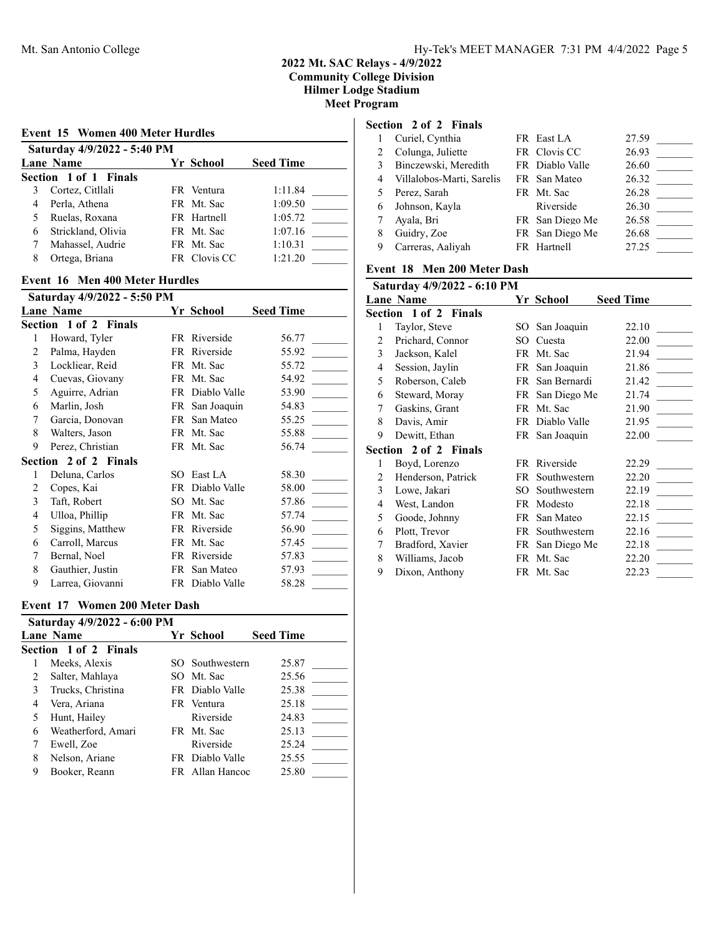| <b>Event 15 Women 400 Meter Hurdles</b> |                                            |              |         |  |  |  |  |
|-----------------------------------------|--------------------------------------------|--------------|---------|--|--|--|--|
|                                         | Saturday 4/9/2022 - 5:40 PM                |              |         |  |  |  |  |
|                                         | <b>Seed Time</b><br>Yr School<br>Lane Name |              |         |  |  |  |  |
|                                         | Section 1 of 1 Finals                      |              |         |  |  |  |  |
| 3                                       | Cortez, Citllali                           | FR Ventura   | 1:11.84 |  |  |  |  |
| 4                                       | Perla, Athena                              | FR Mt. Sac   | 1:09.50 |  |  |  |  |
| 5                                       | Ruelas, Roxana                             | FR Hartnell  | 1:05.72 |  |  |  |  |
| 6                                       | Strickland, Olivia                         | FR Mt. Sac   | 1:07.16 |  |  |  |  |
|                                         | Mahassel, Audrie                           | FR Mt. Sac   | 1:10.31 |  |  |  |  |
| 8                                       | Ortega, Briana                             | FR Clovis CC | 1:21.20 |  |  |  |  |

## **Event 16 Men 400 Meter Hurdles**

|   | Saturday 4/9/2022 - 5:50 PM |     |                 |                  |
|---|-----------------------------|-----|-----------------|------------------|
|   | <b>Lane Name</b>            |     | Yr School       | <b>Seed Time</b> |
|   | Section 1 of 2 Finals       |     |                 |                  |
| 1 | Howard, Tyler               |     | FR Riverside    | 56.77            |
| 2 | Palma, Hayden               |     | FR Riverside    | 55.92            |
| 3 | Lockliear, Reid             | FR. | Mt. Sac         | 55.72            |
| 4 | Cuevas, Giovany             |     | FR Mt. Sac      | 54.92            |
| 5 | Aguirre, Adrian             |     | FR Diablo Valle | 53.90            |
| 6 | Marlin, Josh                |     | FR San Joaquin  | 54.83            |
| 7 | Garcia, Donovan             |     | FR San Mateo    | 55.25            |
| 8 | Walters, Jason              |     | FR Mt. Sac      | 55.88            |
| 9 | Perez, Christian            |     | FR Mt. Sac      | 56.74            |
|   | Section 2 of 2 Finals       |     |                 |                  |
| 1 | Deluna, Carlos              | SO. | East LA         | 58.30            |
| 2 | Copes, Kai                  | FR  | Diablo Valle    | 58.00            |
| 3 | Taft, Robert                | SO. | Mt. Sac         | 57.86            |
| 4 | Ulloa, Phillip              | FR  | Mt. Sac         | 57.74            |
| 5 | Siggins, Matthew            |     | FR Riverside    | 56.90            |
| 6 | Carroll, Marcus             |     | FR Mt. Sac      | 57.45            |
| 7 | Bernal, Noel                | FR  | Riverside       | 57.83            |
| 8 | Gauthier, Justin            | FR  | San Mateo       | 57.93            |
| 9 | Larrea, Giovanni            |     | FR Diablo Valle | 58.28            |

## **Event 17 Women 200 Meter Dash**

|   | Saturday 4/9/2022 - 6:00 PM |  |                 |                  |  |  |
|---|-----------------------------|--|-----------------|------------------|--|--|
|   | Lane Name                   |  | Yr School       | <b>Seed Time</b> |  |  |
|   | Section 1 of 2 Finals       |  |                 |                  |  |  |
|   | Meeks, Alexis               |  | SO Southwestern | 25.87            |  |  |
| 2 | Salter, Mahlaya             |  | SO Mt. Sac      | 25.56            |  |  |
| 3 | Trucks, Christina           |  | FR Diablo Valle | 25.38            |  |  |
| 4 | Vera, Ariana                |  | FR Ventura      | 25.18            |  |  |
|   | Hunt, Hailey                |  | Riverside       | 24.83            |  |  |
| 6 | Weatherford, Amari          |  | FR Mt. Sac      | 25.13            |  |  |
|   | Ewell, Zoe                  |  | Riverside       | 25.24            |  |  |
| 8 | Nelson, Ariane              |  | FR Diablo Valle | 25.55            |  |  |
| 9 | Booker, Reann               |  | FR Allan Hancoc | 25.80            |  |  |

## **Section 2 of 2 Finals**

|   | Curiel, Cynthia           | FR East LA      | 27.59 |  |
|---|---------------------------|-----------------|-------|--|
|   | Colunga, Juliette         | FR Clovis CC    | 26.93 |  |
|   | Binczewski, Meredith      | FR Diablo Valle | 26.60 |  |
| 4 | Villalobos-Marti, Sarelis | FR San Mateo    | 26.32 |  |
|   | Perez, Sarah              | FR Mt. Sac      | 26.28 |  |
| 6 | Johnson, Kayla            | Riverside       | 26.30 |  |
|   | Ayala, Bri                | FR San Diego Me | 26.58 |  |
| 8 | Guidry, Zoe               | FR San Diego Me | 26.68 |  |
|   | Carreras, Aaliyah         | FR Hartnell     | 27.25 |  |

# **Event 18 Men 200 Meter Dash**

| Saturday 4/9/2022 - 6:10 PM |                              |      |                 |                  |  |
|-----------------------------|------------------------------|------|-----------------|------------------|--|
|                             | <b>Lane Name</b>             |      | Yr School       | <b>Seed Time</b> |  |
|                             | <b>Section 1 of 2 Finals</b> |      |                 |                  |  |
| 1                           | Taylor, Steve                | SO.  | San Joaquin     | 22.10            |  |
| 2                           | Prichard, Connor             | SО   | Cuesta          | 22.00            |  |
| 3                           | Jackson, Kalel               | FR   | Mt. Sac         | 21.94            |  |
| 4                           | Session, Jaylin              | FR   | San Joaquin     | 21.86            |  |
| 5                           | Roberson, Caleb              | FR - | San Bernardi    | 21.42            |  |
| 6                           | Steward, Moray               |      | FR San Diego Me | 21.74            |  |
| 7                           | Gaskins, Grant               | FR.  | Mt. Sac         | 21.90            |  |
| 8                           | Davis, Amir                  |      | FR Diablo Valle | 21.95            |  |
| 9                           | Dewitt, Ethan                |      | FR San Joaquin  | 22.00            |  |
|                             | <b>Section 2 of 2 Finals</b> |      |                 |                  |  |
| 1                           | Boyd, Lorenzo                |      | FR Riverside    | 22.29            |  |
| 2                           | Henderson, Patrick           | FR   | Southwestern    | 22.20            |  |
| 3                           | Lowe, Jakari                 | SO.  | Southwestern    | 22.19            |  |
| 4                           | West, Landon                 | FR   | Modesto         | 22.18            |  |
| 5                           | Goode, Johnny                | FR   | San Mateo       | 22.15            |  |
| 6                           | Plott, Trevor                | FR   | Southwestern    | 22.16            |  |
| 7                           | Bradford, Xavier             | FR   | San Diego Me    | 22.18            |  |
| 8                           | Williams, Jacob              | FR   | Mt. Sac         | 22.20            |  |
| 9                           | Dixon, Anthony               |      | FR Mt. Sac      | 22.23            |  |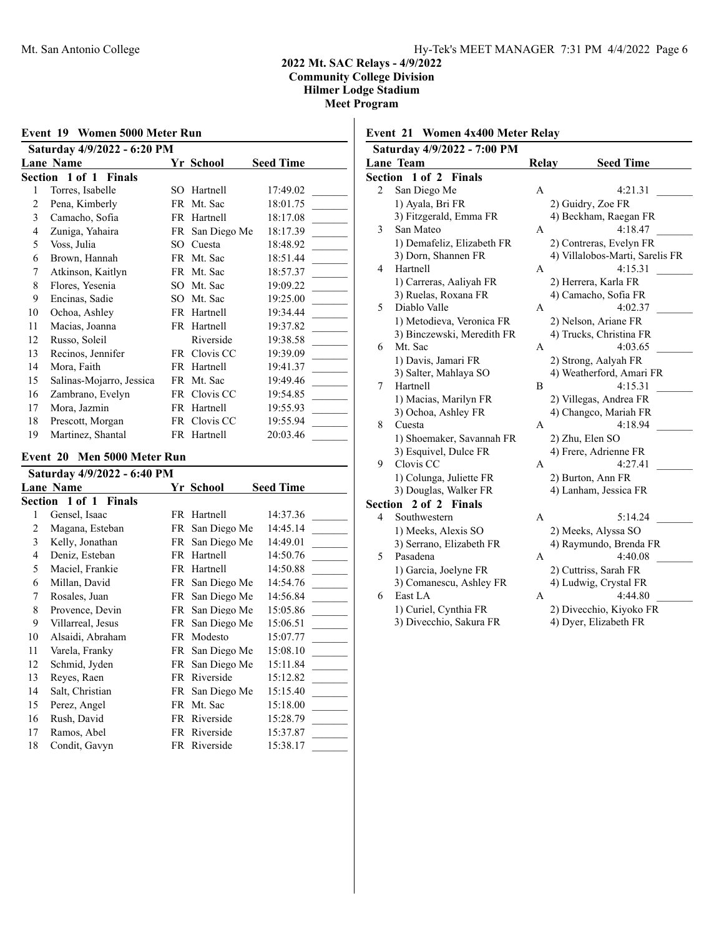|                                                                                  | Event 19 Women 5000 Meter Run |     |                 |          |  |  |
|----------------------------------------------------------------------------------|-------------------------------|-----|-----------------|----------|--|--|
| Saturday 4/9/2022 - 6:20 PM<br><b>Seed Time</b><br><b>Lane Name</b><br>Yr School |                               |     |                 |          |  |  |
|                                                                                  | <b>Section 1 of 1 Finals</b>  |     |                 |          |  |  |
| 1                                                                                | Torres, Isabelle              | SO. | Hartnell        | 17:49.02 |  |  |
| 2                                                                                | Pena, Kimberly                |     | FR Mt. Sac      | 18:01.75 |  |  |
| 3                                                                                | Camacho, Sofia                |     | FR Hartnell     | 18:17.08 |  |  |
| 4                                                                                | Zuniga, Yahaira               |     | FR San Diego Me | 18:17.39 |  |  |
| 5                                                                                | Voss, Julia                   | SО  | Cuesta          | 18:48.92 |  |  |
| 6                                                                                | Brown, Hannah                 |     | FR Mt. Sac      | 18:51.44 |  |  |
| 7                                                                                | Atkinson, Kaitlyn             |     | FR Mt. Sac      | 18:57.37 |  |  |
| 8                                                                                | Flores, Yesenia               | SO. | Mt. Sac         | 19:09.22 |  |  |
| 9                                                                                | Encinas, Sadie                | SO. | Mt. Sac         | 19:25.00 |  |  |
| 10                                                                               | Ochoa, Ashley                 |     | FR Hartnell     | 19:34.44 |  |  |
| 11                                                                               | Macias, Joanna                | FR. | Hartnell        | 19:37.82 |  |  |
| 12                                                                               | Russo, Soleil                 |     | Riverside       | 19:38.58 |  |  |
| 13                                                                               | Recinos, Jennifer             | FR  | Clovis CC       | 19:39.09 |  |  |
| 14                                                                               | Mora, Faith                   |     | FR Hartnell     | 19:41.37 |  |  |
| 15                                                                               | Salinas-Mojarro, Jessica      |     | FR Mt. Sac      | 19:49.46 |  |  |
| 16                                                                               | Zambrano, Evelyn              |     | FR Clovis CC    | 19:54.85 |  |  |
| 17                                                                               | Mora, Jazmin                  |     | FR Hartnell     | 19:55.93 |  |  |
| 18                                                                               | Prescott, Morgan              |     | FR Clovis CC    | 19:55.94 |  |  |
| 19                                                                               | Martinez, Shantal             |     | FR Hartnell     | 20:03.46 |  |  |

### **Event 20 Men 5000 Meter Run**

|    | Saturday 4/9/2022 - 6:40 PM |     |              |                  |  |  |
|----|-----------------------------|-----|--------------|------------------|--|--|
|    | <b>Lane Name</b>            |     | Yr School    | <b>Seed Time</b> |  |  |
|    | Section 1 of 1 Finals       |     |              |                  |  |  |
| 1  | Gensel, Isaac               | FR  | Hartnell     | 14:37.36         |  |  |
| 2  | Magana, Esteban             | FR  | San Diego Me | 14:45.14         |  |  |
| 3  | Kelly, Jonathan             | FR  | San Diego Me | 14:49.01         |  |  |
| 4  | Deniz, Esteban              | FR. | Hartnell     | 14:50.76         |  |  |
| 5  | Maciel, Frankie             | FR. | Hartnell     | 14:50.88         |  |  |
| 6  | Millan, David               | FR  | San Diego Me | 14:54.76         |  |  |
| 7  | Rosales, Juan               | FR  | San Diego Me | 14:56.84         |  |  |
| 8  | Provence, Devin             | FR  | San Diego Me | 15:05.86         |  |  |
| 9  | Villarreal, Jesus           | FR  | San Diego Me | 15:06.51         |  |  |
| 10 | Alsaidi, Abraham            | FR. | Modesto      | 15:07.77         |  |  |
| 11 | Varela, Franky              | FR  | San Diego Me | 15:08.10         |  |  |
| 12 | Schmid, Jyden               | FR  | San Diego Me | 15:11.84         |  |  |
| 13 | Reyes, Raen                 | FR  | Riverside    | 15:12.82         |  |  |
| 14 | Salt, Christian             | FR  | San Diego Me | 15:15.40         |  |  |
| 15 | Perez, Angel                | FR. | Mt. Sac      | 15:18.00         |  |  |
| 16 | Rush, David                 | FR. | Riverside    | 15:28.79         |  |  |
| 17 | Ramos, Abel                 |     | FR Riverside | 15:37.87         |  |  |
| 18 | Condit, Gavyn               |     | FR Riverside | 15:38.17         |  |  |

| Event 21 Women 4x400 Meter Relay |                                        |       |                                  |  |  |
|----------------------------------|----------------------------------------|-------|----------------------------------|--|--|
|                                  | Saturday 4/9/2022 - 7:00 PM            |       |                                  |  |  |
|                                  | Lane Team                              | Relay | <b>Seed Time</b>                 |  |  |
|                                  | Section<br>$1$ of $2$<br><b>Finals</b> |       |                                  |  |  |
| $\overline{c}$                   | San Diego Me                           | Α     | 4:21.31                          |  |  |
|                                  | 1) Ayala, Bri FR                       |       | 2) Guidry, Zoe FR                |  |  |
|                                  | 3) Fitzgerald, Emma FR                 |       | 4) Beckham, Raegan FR            |  |  |
| 3                                | San Mateo                              | А     | 4:18.47                          |  |  |
|                                  | 1) Demafeliz, Elizabeth FR             |       | 2) Contreras, Evelyn FR          |  |  |
|                                  | 3) Dorn, Shannen FR                    |       | 4) Villalobos-Marti, Sarelis FR  |  |  |
| 4                                | Hartnell                               | A     | 4:15.31                          |  |  |
|                                  | 1) Carreras, Aaliyah FR                |       | 2) Herrera, Karla FR             |  |  |
|                                  | 3) Ruelas, Roxana FR                   |       | 4) Camacho, Sofia FR             |  |  |
| 5                                | Diablo Valle                           | A     | 4:02.37                          |  |  |
|                                  | 1) Metodieva, Veronica FR              |       | 2) Nelson, Ariane FR             |  |  |
|                                  | 3) Binczewski, Meredith FR             |       | 4) Trucks, Christina FR          |  |  |
| 6                                | Mt. Sac                                | А     | 4:03.65                          |  |  |
|                                  | 1) Davis, Jamari FR                    |       | 2) Strong, Aalyah FR             |  |  |
|                                  | 3) Salter, Mahlaya SO                  |       | 4) Weatherford, Amari FR         |  |  |
| 7                                | Hartnell                               | В     | 4:15.31                          |  |  |
|                                  | 1) Macias, Marilyn FR                  |       | 2) Villegas, Andrea FR           |  |  |
|                                  | 3) Ochoa, Ashley FR                    |       | 4) Changco, Mariah FR            |  |  |
| 8                                | Cuesta                                 | A     | 4:18.94                          |  |  |
|                                  | 1) Shoemaker, Savannah FR              |       | 2) Zhu, Elen SO                  |  |  |
|                                  | 3) Esquivel, Dulce FR                  |       | 4) Frere, Adrienne FR            |  |  |
| 9                                | Clovis CC                              | A     | 4:27.41                          |  |  |
|                                  | 1) Colunga, Juliette FR                |       | 2) Burton, Ann FR                |  |  |
|                                  | 3) Douglas, Walker FR                  |       | 4) Lanham, Jessica FR            |  |  |
| Section                          | 2 of 2 Finals                          |       |                                  |  |  |
| 4                                | Southwestern                           | A     | 5:14.24                          |  |  |
|                                  | 1) Meeks, Alexis SO                    |       | 2) Meeks, Alyssa SO              |  |  |
|                                  | 3) Serrano, Elizabeth FR               |       | 4) Raymundo, Brenda FR           |  |  |
| 5                                | Pasadena                               | А     | 4:40.08                          |  |  |
|                                  | 1) Garcia, Joelyne FR                  |       | 2) Cuttriss, Sarah FR            |  |  |
| 6                                | 3) Comanescu, Ashley FR<br>East LA     |       | 4) Ludwig, Crystal FR<br>4:44.80 |  |  |
|                                  |                                        | А     |                                  |  |  |
|                                  | 1) Curiel, Cynthia FR                  |       | 2) Divecchio, Kiyoko FR          |  |  |
|                                  | 3) Divecchio, Sakura FR                |       | 4) Dyer, Elizabeth FR            |  |  |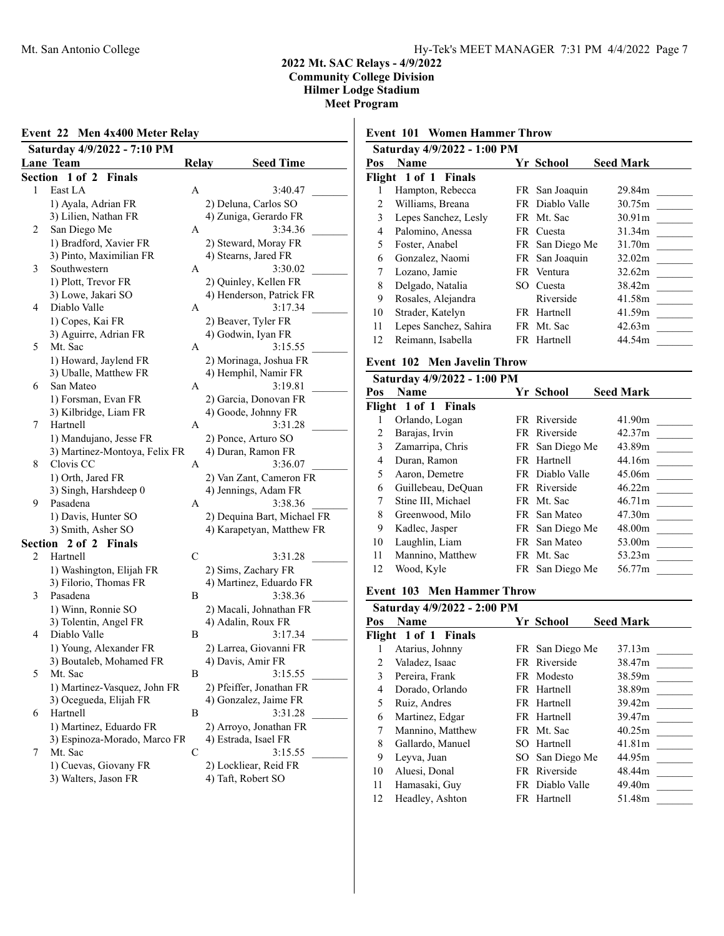### **Event 22 Men 4x400 Meter Relay Saturday 4/9/2022 - 7:10 PM Lane Team 6 Relay Seed Time Section 1 of 2 Finals** 1 East LA **A** 3:40.47 1) Ayala, Adrian FR 2) Deluna, Carlos SO 3) Lilien, Nathan FR 4) Zuniga, Gerardo FR 2 San Diego Me A 3:34.36 1) Bradford, Xavier FR 2) Steward, Moray FR 3) Pinto, Maximilian FR 4) Stearns, Jared FR 3 Southwestern A 3:30.02 1) Plott, Trevor FR 2) Quinley, Kellen FR 3) Lowe, Jakari SO 4) Henderson, Patrick FR 4 Diablo Valle A 3:17.34 1) Copes, Kai FR 2) Beaver, Tyler FR 3) Aguirre, Adrian FR 4) Godwin, Iyan FR 5 Mt. Sac A 3:15.55 1) Howard, Jaylend FR 2) Morinaga, Joshua FR 3) Uballe, Matthew FR 4) Hemphil, Namir FR 6 San Mateo A 3:19.81 1) Forsman, Evan FR 2) Garcia, Donovan FR 3) Kilbridge, Liam FR 4) Goode, Johnny FR 7 Hartnell A 3:31.28 1) Mandujano, Jesse FR 2) Ponce, Arturo SO 3) Martinez-Montoya, Felix FR 4) Duran, Ramon FR 8 Clovis CC A 3:36.07 1) Orth, Jared FR 2) Van Zant, Cameron FR 3) Singh, Harshdeep 0 4) Jennings, Adam FR 9 Pasadena A 3:38.36 1) Davis, Hunter SO 2) Dequina Bart, Michael FR 3) Smith, Asher SO 4) Karapetyan, Matthew FR **Section 2 of 2 Finals** 2 Hartnell C 3:31.28 1) Washington, Elijah FR 2) Sims, Zachary FR 3) Filorio, Thomas FR 4) Martinez, Eduardo FR 3 Pasadena B 3:38.36 1) Winn, Ronnie SO 2) Macali, Johnathan FR 3) Tolentin, Angel FR 4) Adalin, Roux FR 4 Diablo Valle B 3:17.34 1) Young, Alexander FR 2) Larrea, Giovanni FR 3) Boutaleb, Mohamed FR 4) Davis, Amir FR 5 Mt. Sac B 3:15.55 1) Martinez-Vasquez, John FR 2) Pfeiffer, Jonathan FR 3) Ocegueda, Elijah FR 4) Gonzalez, Jaime FR 6 Hartnell B 3:31.28 1) Martinez, Eduardo FR 2) Arroyo, Jonathan FR 3) Espinoza-Morado, Marco FR 4) Estrada, Isael FR 7 Mt. Sac C 3:15.55 1) Cuevas, Giovany FR 2) Lockliear, Reid FR

3) Walters, Jason FR 4) Taft, Robert SO

### **Event 101 Women Hammer Throw**

|               | Saturday 4/9/2022 - 1:00 PM |      |                  |                    |
|---------------|-----------------------------|------|------------------|--------------------|
| Pos           | <b>Name</b>                 |      | <b>Yr School</b> | <b>Seed Mark</b>   |
|               | Flight 1 of 1 Finals        |      |                  |                    |
|               | Hampton, Rebecca            |      | FR San Joaquin   | 29.84m             |
| $\mathcal{L}$ | Williams, Breana            |      | FR Diablo Valle  | 30.75m             |
| 3             | Lepes Sanchez, Lesly        |      | FR Mt. Sac       | 30.91 <sub>m</sub> |
| 4             | Palomino, Anessa            | FR - | Cuesta           | 31.34m             |
| 5             | Foster, Anabel              |      | FR San Diego Me  | 31.70m             |
| 6             | Gonzalez, Naomi             |      | FR San Joaquin   | 32.02m             |
| 7             | Lozano, Jamie               |      | FR Ventura       | 32.62m             |
| 8             | Delgado, Natalia            |      | SO Cuesta        | 38.42m             |
| 9             | Rosales, Alejandra          |      | Riverside        | 41.58m             |
| 10            | Strader, Katelyn            |      | FR Hartnell      | 41.59m             |
| 11            | Lepes Sanchez, Sahira       |      | FR Mt. Sac       | 42.63m             |
| 12            | Reimann, Isabella           |      | FR Hartnell      | 44.54m             |
|               |                             |      |                  |                    |

### **Event 102 Men Javelin Throw**

|     | Saturday 4/9/2022 - 1:00 PM |                 |                  |
|-----|-----------------------------|-----------------|------------------|
| Pos | <b>Name</b>                 | Yr School       | <b>Seed Mark</b> |
|     | Flight 1 of 1 Finals        |                 |                  |
|     | Orlando, Logan              | FR Riverside    | 41.90m           |
| 2   | Barajas, Irvin              | FR Riverside    | 42.37m           |
| 3   | Zamarripa, Chris            | FR San Diego Me | 43.89m           |
| 4   | Duran, Ramon                | FR Hartnell     | 44.16m           |
| 5   | Aaron, Demetre              | FR Diablo Valle | 45.06m           |
| 6   | Guillebeau, DeQuan          | FR Riverside    | 46.22m           |
| 7   | Stine III, Michael          | FR Mt. Sac      | 46.71m           |
| 8   | Greenwood, Milo             | FR San Mateo    | 47.30m           |
| 9   | Kadlec, Jasper              | FR San Diego Me | 48.00m           |
| 10  | Laughlin, Liam              | FR San Mateo    | 53.00m           |
| 11  | Mannino, Matthew            | FR Mt. Sac      | 53.23m           |
| 12  | Wood, Kyle                  | FR San Diego Me | 56.77m           |
|     |                             |                 |                  |

### **Event 103 Men Hammer Throw**

| <b>Name</b>          |                             | <b>Seed Mark</b>                                                                                                                                                                       |
|----------------------|-----------------------------|----------------------------------------------------------------------------------------------------------------------------------------------------------------------------------------|
| Flight 1 of 1 Finals |                             |                                                                                                                                                                                        |
| Atarius, Johnny      |                             | 37.13m                                                                                                                                                                                 |
| Valadez, Isaac       |                             | 38.47m                                                                                                                                                                                 |
| Pereira, Frank       |                             | 38.59m                                                                                                                                                                                 |
| Dorado, Orlando      |                             | 38.89m                                                                                                                                                                                 |
| Ruiz, Andres         |                             | 39.42m                                                                                                                                                                                 |
| Martinez, Edgar      |                             | 39.47m                                                                                                                                                                                 |
| Mannino, Matthew     |                             | 40.25m                                                                                                                                                                                 |
| Gallardo, Manuel     | Hartnell                    | 41.81m                                                                                                                                                                                 |
| Leyva, Juan          | San Diego Me                | 44.95m                                                                                                                                                                                 |
| Aluesi, Donal        |                             | 48.44m                                                                                                                                                                                 |
| Hamasaki, Guy        |                             | 49.40m                                                                                                                                                                                 |
| Headley, Ashton      |                             | 51.48m                                                                                                                                                                                 |
|                      | Saturday 4/9/2022 - 2:00 PM | Yr School<br>FR San Diego Me<br>FR Riverside<br>FR Modesto<br>FR Hartnell<br>FR Hartnell<br>FR Hartnell<br>FR Mt. Sac<br>SO.<br>SO -<br>FR Riverside<br>FR Diablo Valle<br>FR Hartnell |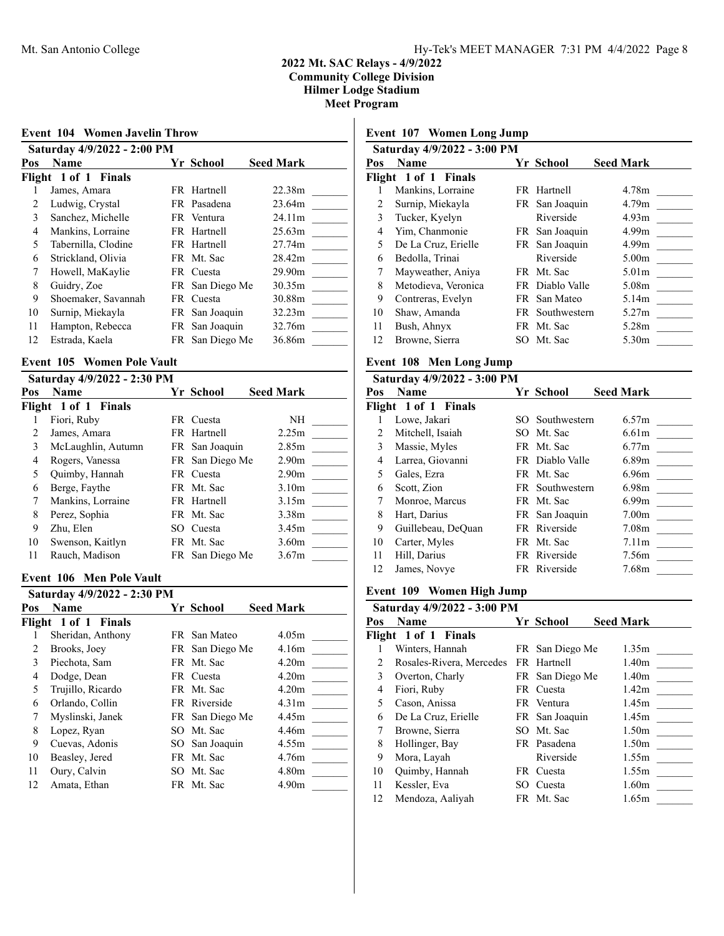| <b>Event 104 Women Javelin Throw</b> |                             |      |                |                  |
|--------------------------------------|-----------------------------|------|----------------|------------------|
|                                      | Saturday 4/9/2022 - 2:00 PM |      |                |                  |
| Pos                                  | Name                        |      | Yr School      | <b>Seed Mark</b> |
|                                      | Flight 1 of 1 Finals        |      |                |                  |
|                                      | James, Amara                |      | FR Hartnell    | 22.38m           |
| 2                                    | Ludwig, Crystal             |      | FR Pasadena    | 23.64m           |
| 3                                    | Sanchez, Michelle           |      | FR Ventura     | 24.11m           |
| 4                                    | Mankins, Lorraine           |      | FR Hartnell    | 25.63m           |
| 5                                    | Tabernilla, Clodine         |      | FR Hartnell    | 27.74m           |
| 6                                    | Strickland, Olivia          |      | FR Mt. Sac     | 28.42m           |
| 7                                    | Howell, MaKaylie            |      | FR Cuesta      | 29.90m           |
| 8                                    | Guidry, Zoe                 | FR   | San Diego Me   | 30.35m           |
| 9                                    | Shoemaker, Savannah         | FR - | Cuesta         | 30.88m           |
| 10                                   | Surnip, Miekayla            | FR   | San Joaquin    | 32.23m           |
| 11                                   | Hampton, Rebecca            |      | FR San Joaquin | 32.76m           |
| 12                                   | Estrada, Kaela              | FR   | San Diego Me   | 36.86m           |
|                                      |                             |      |                |                  |

## **Event 105 Women Pole Vault**

|     | Saturday 4/9/2022 - 2:30 PM |                 |                   |  |
|-----|-----------------------------|-----------------|-------------------|--|
| Pos | <b>Name</b>                 | Yr School       | <b>Seed Mark</b>  |  |
|     | Flight 1 of 1 Finals        |                 |                   |  |
|     | Fiori, Ruby                 | FR Cuesta       | NH                |  |
|     | James, Amara                | FR Hartnell     | 2.25m             |  |
| 3   | McLaughlin, Autumn          | FR San Joaquin  | 2.85m             |  |
| 4   | Rogers, Vanessa             | FR San Diego Me | 2.90 <sub>m</sub> |  |
| 5   | Quimby, Hannah              | FR Cuesta       | 2.90 <sub>m</sub> |  |
| 6   | Berge, Faythe               | FR Mt. Sac      | 3.10 <sub>m</sub> |  |
| 7   | Mankins, Lorraine           | FR Hartnell     | 3.15m             |  |
| 8   | Perez, Sophia               | FR Mt. Sac      | 3.38m             |  |
| 9   | Zhu, Elen                   | SO Cuesta       | 3.45m             |  |
| 10  | Swenson, Kaitlyn            | FR Mt. Sac      | 3.60 <sub>m</sub> |  |
| 11  | Rauch, Madison              | FR San Diego Me | 3.67m             |  |
|     |                             |                 |                   |  |

### **Event 106 Men Pole Vault**

|     | Saturday 4/9/2022 - 2:30 PM |                 |                   |
|-----|-----------------------------|-----------------|-------------------|
| Pos | <b>Name</b>                 | Yr School       | <b>Seed Mark</b>  |
|     | Flight 1 of 1 Finals        |                 |                   |
|     | Sheridan, Anthony           | FR San Mateo    | 4.05m             |
| 2   | Brooks, Joey                | FR San Diego Me | 4.16m             |
| 3   | Piechota, Sam               | FR Mt. Sac      | 4.20 <sub>m</sub> |
| 4   | Dodge, Dean                 | FR Cuesta       | 4.20 <sub>m</sub> |
| 5   | Trujillo, Ricardo           | FR Mt. Sac      | 4.20m             |
| 6   | Orlando, Collin             | FR Riverside    | 4.31 <sub>m</sub> |
| 7   | Myslinski, Janek            | FR San Diego Me | 4.45m             |
| 8   | Lopez, Ryan                 | SO Mt. Sac      | 4.46m             |
| 9   | Cuevas, Adonis              | SO San Joaquin  | 4.55m             |
| 10  | Beasley, Jered              | FR Mt. Sac      | 4.76m             |
| 11  | Oury, Calvin                | SO Mt. Sac      | 4.80 <sub>m</sub> |
| 12  | Amata, Ethan                | FR Mt. Sac      | 4.90m             |
|     |                             |                 |                   |

# **Event 107 Women Long Jump**

| <b>Name</b>          |                             | <b>Seed Mark</b>                                                                                                                                                               |
|----------------------|-----------------------------|--------------------------------------------------------------------------------------------------------------------------------------------------------------------------------|
| Flight 1 of 1 Finals |                             |                                                                                                                                                                                |
| Mankins, Lorraine    |                             | 4.78m                                                                                                                                                                          |
| Surnip, Miekayla     |                             | 4.79 <sub>m</sub>                                                                                                                                                              |
| Tucker, Kyelyn       | Riverside                   | 4.93m                                                                                                                                                                          |
| Yim, Chanmonie       |                             | 4.99 <sub>m</sub>                                                                                                                                                              |
| De La Cruz, Erielle  |                             | 4.99 <sub>m</sub>                                                                                                                                                              |
| Bedolla, Trinai      | Riverside                   | 5.00 <sub>m</sub>                                                                                                                                                              |
| Mayweather, Aniya    |                             | 5.01 <sub>m</sub>                                                                                                                                                              |
| Metodieva, Veronica  |                             | 5.08m                                                                                                                                                                          |
| Contreras, Evelyn    |                             | 5.14m                                                                                                                                                                          |
| Shaw, Amanda         |                             | 5.27m                                                                                                                                                                          |
| Bush, Ahnyx          |                             | 5.28m                                                                                                                                                                          |
| Browne, Sierra       |                             | 5.30m                                                                                                                                                                          |
|                      | Saturday 4/9/2022 - 3:00 PM | Yr School<br>FR Hartnell<br>FR San Joaquin<br>FR San Joaquin<br>FR San Joaquin<br>FR Mt. Sac<br>FR Diablo Valle<br>FR San Mateo<br>FR Southwestern<br>FR Mt. Sac<br>SO Mt. Sac |

# **Event 108 Men Long Jump**

|     | Saturday 4/9/2022 - 3:00 PM |      |                 |                   |
|-----|-----------------------------|------|-----------------|-------------------|
| Pos | <b>Name</b>                 |      | Yr School       | <b>Seed Mark</b>  |
|     | Flight 1 of 1 Finals        |      |                 |                   |
|     | Lowe, Jakari                | SO.  | Southwestern    | 6.57m             |
| 2   | Mitchell, Isaiah            | SO.  | Mt. Sac         | 6.61 <sub>m</sub> |
| 3   | Massie, Myles               |      | FR Mt. Sac      | 6.77m             |
| 4   | Larrea, Giovanni            |      | FR Diablo Valle | 6.89 <sub>m</sub> |
| 5   | Gales, Ezra                 |      | FR Mt. Sac      | 6.96m             |
| 6   | Scott, Zion                 | FR - | Southwestern    | 6.98m             |
| 7   | Monroe, Marcus              |      | FR Mt. Sac      | 6.99 <sub>m</sub> |
| 8   | Hart, Darius                |      | FR San Joaquin  | 7.00 <sub>m</sub> |
| 9   | Guillebeau, DeQuan          |      | FR Riverside    | 7.08m             |
| 10  | Carter, Myles               |      | FR Mt. Sac      | 7.11m             |
| 11  | Hill, Darius                |      | FR Riverside    | 7.56m             |
| 12  | James, Novye                |      | FR Riverside    | 7.68m             |

# **Event 109 Women High Jump**

| Saturday 4/9/2022 - 3:00 PM |     |           |                                                                                                                                                                     |  |  |  |
|-----------------------------|-----|-----------|---------------------------------------------------------------------------------------------------------------------------------------------------------------------|--|--|--|
| Name                        |     |           | <b>Seed Mark</b>                                                                                                                                                    |  |  |  |
| Flight 1 of 1 Finals        |     |           |                                                                                                                                                                     |  |  |  |
| Winters, Hannah             |     |           | 1.35m                                                                                                                                                               |  |  |  |
| Rosales-Rivera, Mercedes    |     |           | 1.40m                                                                                                                                                               |  |  |  |
| Overton, Charly             |     |           | 1.40 <sub>m</sub>                                                                                                                                                   |  |  |  |
| Fiori, Ruby                 |     |           | 1.42m                                                                                                                                                               |  |  |  |
| Cason, Anissa               |     |           | 1.45m                                                                                                                                                               |  |  |  |
| De La Cruz, Erielle         |     |           | 1.45m                                                                                                                                                               |  |  |  |
| Browne, Sierra              |     |           | 1.50 <sub>m</sub>                                                                                                                                                   |  |  |  |
| Hollinger, Bay              |     |           | 1.50m                                                                                                                                                               |  |  |  |
| Mora, Layah                 |     | Riverside | 1.55m                                                                                                                                                               |  |  |  |
| Quimby, Hannah              |     |           | 1.55m                                                                                                                                                               |  |  |  |
| Kessler, Eva                | SO. | Cuesta    | 1.60 <sub>m</sub>                                                                                                                                                   |  |  |  |
| Mendoza, Aaliyah            |     |           | 1.65m                                                                                                                                                               |  |  |  |
|                             |     |           | Yr School<br>FR San Diego Me<br>FR Hartnell<br>FR San Diego Me<br>FR Cuesta<br>FR Ventura<br>FR San Joaquin<br>SO Mt. Sac<br>FR Pasadena<br>FR Cuesta<br>FR Mt. Sac |  |  |  |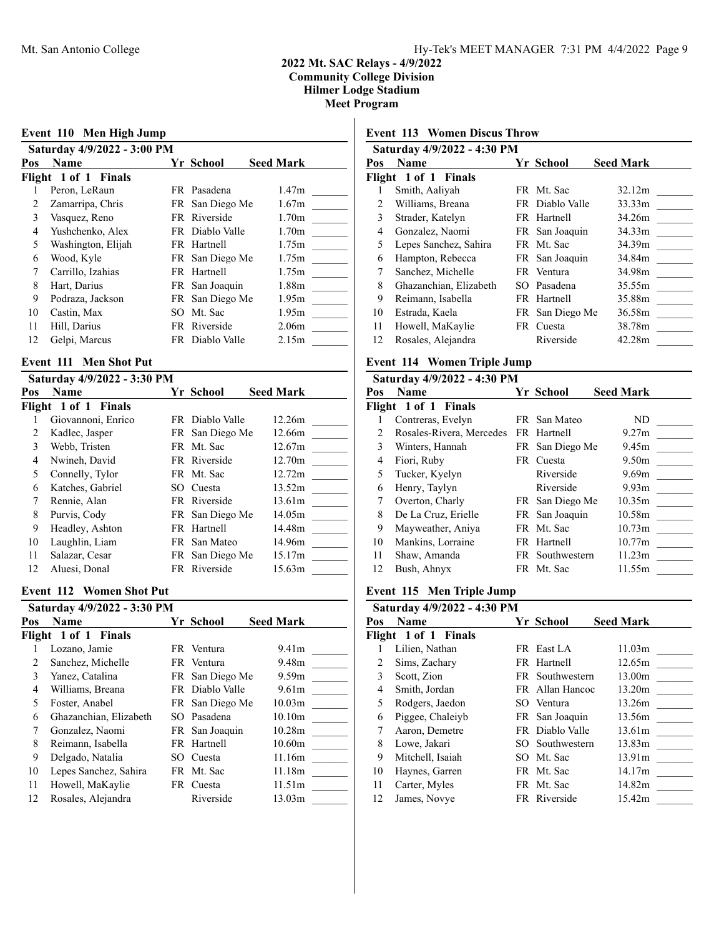# **Event 110 Men High Jump Saturday 4/9/2022 - 3:00 PM Pos Name Seed Mark Yr School Seed Mark Flight 1 of 1 Finals** 1 Peron, LeRaun FR Pasadena 1.47m 2 Zamarripa, Chris FR San Diego Me 1.67m 3 Vasquez, Reno FR Riverside 1.70m 4 Yushchenko, Alex FR Diablo Valle 1.70m 5 Washington, Elijah FR Hartnell 1.75m 6 Wood, Kyle FR San Diego Me 1.75m 7 Carrillo, Izahias FR Hartnell 1.75m 8 Hart, Darius FR San Joaquin 1.88m 9 Podraza, Jackson FR San Diego Me 1.95m 10 Castin, Max SO Mt. Sac 1.95m 11 Hill, Darius FR Riverside 2.06m 12 Gelpi, Marcus FR Diablo Valle 2.15m

### **Event 111 Men Shot Put**

|     | Saturday 4/9/2022 - 3:30 PM |                 |                  |
|-----|-----------------------------|-----------------|------------------|
| Pos | <b>Name</b>                 | Yr School       | <b>Seed Mark</b> |
|     | Flight 1 of 1 Finals        |                 |                  |
|     | Giovannoni, Enrico          | FR Diablo Valle | 12.26m           |
|     | Kadlec, Jasper              | FR San Diego Me | 12.66m           |
| 3   | Webb, Tristen               | FR Mt. Sac      | 12.67m           |
| 4   | Nwineh, David               | FR Riverside    | 12.70m           |
| 5   | Connelly, Tylor             | FR Mt. Sac      | 12.72m           |
| 6   | Katches, Gabriel            | SO Cuesta       | 13.52m           |
|     | Rennie, Alan                | FR Riverside    | 13.61m           |
| 8   | Purvis, Cody                | FR San Diego Me | 14.05m           |
| 9   | Headley, Ashton             | FR Hartnell     | 14.48m           |
| 10  | Laughlin, Liam              | FR San Mateo    | 14.96m           |
| 11  | Salazar, Cesar              | FR San Diego Me | 15.17m           |
| 12  | Aluesi, Donal               | FR Riverside    | 15.63m           |

### **Event 112 Women Shot Put**

|                          | Saturday 4/9/2022 - 3:30 PM |     |                 |                    |  |
|--------------------------|-----------------------------|-----|-----------------|--------------------|--|
| Pos                      | <b>Name</b>                 |     | Yr School       | <b>Seed Mark</b>   |  |
|                          | Flight 1 of 1 Finals        |     |                 |                    |  |
|                          | Lozano, Jamie               |     | FR Ventura      | 9.41 <sub>m</sub>  |  |
| 2                        | Sanchez, Michelle           |     | FR Ventura      | 9.48m              |  |
| 3                        | Yanez, Catalina             |     | FR San Diego Me | 9.59m              |  |
| 4                        | Williams, Breana            |     | FR Diablo Valle | 9.61m              |  |
| $\overline{\phantom{0}}$ | Foster, Anabel              |     | FR San Diego Me | 10.03 <sub>m</sub> |  |
| 6                        | Ghazanchian, Elizabeth      |     | SO Pasadena     | 10.10 <sub>m</sub> |  |
| 7                        | Gonzalez, Naomi             |     | FR San Joaquin  | 10.28m             |  |
| 8                        | Reimann, Isabella           |     | FR Hartnell     | 10.60m             |  |
| 9                        | Delgado, Natalia            | SO. | Cuesta          | 11.16m             |  |
| 10                       | Lepes Sanchez, Sahira       |     | FR Mt. Sac      | 11.18m             |  |
| 11                       | Howell, MaKaylie            | FR  | Cuesta          | 11.51m             |  |
| 12                       | Rosales, Alejandra          |     | Riverside       | 13.03m             |  |
|                          |                             |     |                 |                    |  |

# **Event 113 Women Discus Throw**

|     | Saturday 4/9/2022 - 4:30 PM |    |                 |                  |
|-----|-----------------------------|----|-----------------|------------------|
| Pos | Name                        |    | Yr School       | <b>Seed Mark</b> |
|     | Flight 1 of 1 Finals        |    |                 |                  |
|     | Smith, Aaliyah              |    | FR Mt. Sac      | 32.12m           |
| 2   | Williams, Breana            |    | FR Diablo Valle | 33.33m           |
| 3   | Strader, Katelyn            |    | FR Hartnell     | 34.26m           |
| 4   | Gonzalez, Naomi             |    | FR San Joaquin  | 34.33m           |
| 5   | Lepes Sanchez, Sahira       |    | FR Mt. Sac      | 34.39m           |
| 6   | Hampton, Rebecca            |    | FR San Joaquin  | 34.84m           |
| 7   | Sanchez, Michelle           |    | FR Ventura      | 34.98m           |
| 8   | Ghazanchian, Elizabeth      |    | SO Pasadena     | 35.55m           |
| 9   | Reimann, Isabella           |    | FR Hartnell     | 35.88m           |
| 10  | Estrada, Kaela              | FR | San Diego Me    | 36.58m           |
| 11  | Howell, MaKaylie            | FR | Cuesta          | 38.78m           |
| 12  | Rosales, Alejandra          |    | Riverside       | 42.28m           |

### **Event 114 Women Triple Jump**

| Saturday 4/9/2022 - 4:30 PM |                          |    |                 |                   |  |
|-----------------------------|--------------------------|----|-----------------|-------------------|--|
| Pos                         | <b>Name</b>              |    | Yr School       | <b>Seed Mark</b>  |  |
|                             | Flight 1 of 1 Finals     |    |                 |                   |  |
|                             | Contreras, Evelyn        |    | FR San Mateo    | ND.               |  |
| $\mathcal{L}$               | Rosales-Rivera, Mercedes |    | FR Hartnell     | 9.27m             |  |
| 3                           | Winters, Hannah          |    | FR San Diego Me | 9.45m             |  |
| 4                           | Fiori, Ruby              | FR | Cuesta          | 9.50m             |  |
| 5                           | Tucker, Kyelyn           |    | Riverside       | 9.69 <sub>m</sub> |  |
| 6                           | Henry, Taylyn            |    | Riverside       | 9.93 <sub>m</sub> |  |
| 7                           | Overton, Charly          |    | FR San Diego Me | 10.35m            |  |
| 8                           | De La Cruz, Erielle      |    | FR San Joaquin  | 10.58m            |  |
| 9                           | Mayweather, Aniya        |    | FR Mt. Sac      | 10.73m            |  |
| 10                          | Mankins, Lorraine        |    | FR Hartnell     | 10.77m            |  |
| 11                          | Shaw, Amanda             |    | FR Southwestern | 11.23m            |  |
| 12                          | Bush, Ahnyx              |    | FR Mt. Sac      | 11.55m            |  |

## **Event 115 Men Triple Jump**

|               | Saturday 4/9/2022 - 4:30 PM |     |                 |                  |
|---------------|-----------------------------|-----|-----------------|------------------|
| Pos           | <b>Name</b>                 |     | Yr School       | <b>Seed Mark</b> |
|               | Flight 1 of 1 Finals        |     |                 |                  |
|               | Lilien, Nathan              |     | FR East LA      | 11.03m           |
| $\mathcal{L}$ | Sims, Zachary               |     | FR Hartnell     | 12.65m           |
| 3             | Scott, Zion                 |     | FR Southwestern | 13.00m           |
| 4             | Smith, Jordan               |     | FR Allan Hancoc | 13.20m           |
| 5             | Rodgers, Jaedon             |     | SO Ventura      | 13.26m           |
| 6             | Piggee, Chaleiyb            |     | FR San Joaquin  | 13.56m           |
| 7             | Aaron, Demetre              |     | FR Diablo Valle | 13.61m           |
| 8             | Lowe, Jakari                | SO. | Southwestern    | 13.83m           |
| 9             | Mitchell, Isaiah            |     | SO Mt. Sac      | 13.91m           |
| 10            | Haynes, Garren              |     | FR Mt. Sac      | 14.17m           |
| 11            | Carter, Myles               |     | FR Mt. Sac      | 14.82m           |
| 12            | James, Novye                |     | FR Riverside    | 15.42m           |